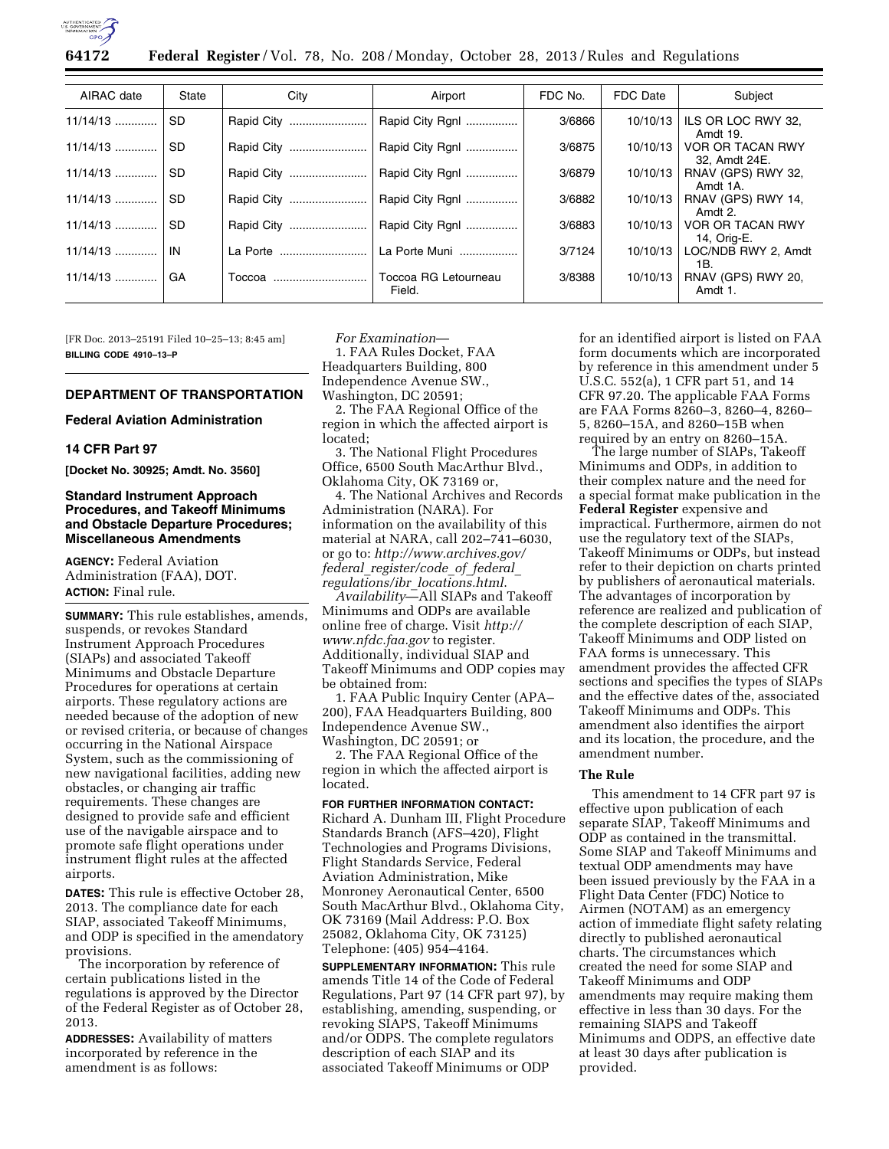

**64172 Federal Register** / Vol. 78, No. 208 / Monday, October 28, 2013 / Rules and Regulations

| AIRAC date | State     | City       | Airport                        | FDC No. | FDC Date | Subject                           |
|------------|-----------|------------|--------------------------------|---------|----------|-----------------------------------|
| 11/14/13   | SD.       | Rapid City | Rapid City Rgnl                | 3/6866  | 10/10/13 | ILS OR LOC RWY 32,<br>Amdt 19.    |
| 11/14/13   | <b>SD</b> | Rapid City | Rapid City Rgnl                | 3/6875  | 10/10/13 | VOR OR TACAN RWY<br>32, Amdt 24E. |
| $11/14/13$ | SD.       | Rapid City | Rapid City Rgnl                | 3/6879  | 10/10/13 | RNAV (GPS) RWY 32,<br>Amdt 1A.    |
| $11/14/13$ | SD.       | Rapid City | Rapid City Rgnl                | 3/6882  | 10/10/13 | RNAV (GPS) RWY 14,<br>Amdt 2.     |
| $11/14/13$ | SD.       | Rapid City | Rapid City Rgnl                | 3/6883  | 10/10/13 | VOR OR TACAN RWY<br>14, Orig-E.   |
|            | IN        | La Porte   | La Porte Muni                  | 3/7124  | 10/10/13 | LOC/NDB RWY 2, Amdt<br>1В.        |
| $11/14/13$ | GA        | Toccoa     | Toccoa RG Letourneau<br>Field. | 3/8388  | 10/10/13 | RNAV (GPS) RWY 20,<br>Amdt 1.     |

[FR Doc. 2013–25191 Filed 10–25–13; 8:45 am] **BILLING CODE 4910–13–P** 

# **DEPARTMENT OF TRANSPORTATION**

# **Federal Aviation Administration**

## **14 CFR Part 97**

**[Docket No. 30925; Amdt. No. 3560]** 

#### **Standard Instrument Approach Procedures, and Takeoff Minimums and Obstacle Departure Procedures; Miscellaneous Amendments**

**AGENCY:** Federal Aviation Administration (FAA), DOT. **ACTION:** Final rule.

**SUMMARY:** This rule establishes, amends, suspends, or revokes Standard Instrument Approach Procedures (SIAPs) and associated Takeoff Minimums and Obstacle Departure Procedures for operations at certain airports. These regulatory actions are needed because of the adoption of new or revised criteria, or because of changes occurring in the National Airspace System, such as the commissioning of new navigational facilities, adding new obstacles, or changing air traffic requirements. These changes are designed to provide safe and efficient use of the navigable airspace and to promote safe flight operations under instrument flight rules at the affected airports.

**DATES:** This rule is effective October 28, 2013. The compliance date for each SIAP, associated Takeoff Minimums, and ODP is specified in the amendatory provisions.

The incorporation by reference of certain publications listed in the regulations is approved by the Director of the Federal Register as of October 28, 2013.

**ADDRESSES:** Availability of matters incorporated by reference in the amendment is as follows:

*For Examination*— 1. FAA Rules Docket, FAA

Headquarters Building, 800 Independence Avenue SW., Washington, DC 20591;

2. The FAA Regional Office of the region in which the affected airport is located;

3. The National Flight Procedures Office, 6500 South MacArthur Blvd., Oklahoma City, OK 73169 or,

4. The National Archives and Records Administration (NARA). For information on the availability of this material at NARA, call 202–741–6030, or go to: *http://www.archives.gov/ federal*\_*register/code*\_*of*\_*federal*\_ *regulations/ibr*\_*locations.html*.

*Availability*—All SIAPs and Takeoff Minimums and ODPs are available online free of charge. Visit *[http://](http://www.nfdc.faa.gov) [www.nfdc.faa.gov](http://www.nfdc.faa.gov)* to register. Additionally, individual SIAP and Takeoff Minimums and ODP copies may be obtained from:

1. FAA Public Inquiry Center (APA– 200), FAA Headquarters Building, 800 Independence Avenue SW., Washington, DC 20591; or

2. The FAA Regional Office of the region in which the affected airport is located.

**FOR FURTHER INFORMATION CONTACT:**  Richard A. Dunham III, Flight Procedure Standards Branch (AFS–420), Flight Technologies and Programs Divisions, Flight Standards Service, Federal Aviation Administration, Mike Monroney Aeronautical Center, 6500 South MacArthur Blvd., Oklahoma City, OK 73169 (Mail Address: P.O. Box 25082, Oklahoma City, OK 73125) Telephone: (405) 954–4164.

**SUPPLEMENTARY INFORMATION:** This rule amends Title 14 of the Code of Federal Regulations, Part 97 (14 CFR part 97), by establishing, amending, suspending, or revoking SIAPS, Takeoff Minimums and/or ODPS. The complete regulators description of each SIAP and its associated Takeoff Minimums or ODP

for an identified airport is listed on FAA form documents which are incorporated by reference in this amendment under 5 U.S.C. 552(a), 1 CFR part 51, and 14 CFR 97.20. The applicable FAA Forms are FAA Forms 8260–3, 8260–4, 8260– 5, 8260–15A, and 8260–15B when required by an entry on 8260–15A.

The large number of SIAPs, Takeoff Minimums and ODPs, in addition to their complex nature and the need for a special format make publication in the **Federal Register** expensive and impractical. Furthermore, airmen do not use the regulatory text of the SIAPs, Takeoff Minimums or ODPs, but instead refer to their depiction on charts printed by publishers of aeronautical materials. The advantages of incorporation by reference are realized and publication of the complete description of each SIAP, Takeoff Minimums and ODP listed on FAA forms is unnecessary. This amendment provides the affected CFR sections and specifies the types of SIAPs and the effective dates of the, associated Takeoff Minimums and ODPs. This amendment also identifies the airport and its location, the procedure, and the amendment number.

#### **The Rule**

This amendment to 14 CFR part 97 is effective upon publication of each separate SIAP, Takeoff Minimums and ODP as contained in the transmittal. Some SIAP and Takeoff Minimums and textual ODP amendments may have been issued previously by the FAA in a Flight Data Center (FDC) Notice to Airmen (NOTAM) as an emergency action of immediate flight safety relating directly to published aeronautical charts. The circumstances which created the need for some SIAP and Takeoff Minimums and ODP amendments may require making them effective in less than 30 days. For the remaining SIAPS and Takeoff Minimums and ODPS, an effective date at least 30 days after publication is provided.